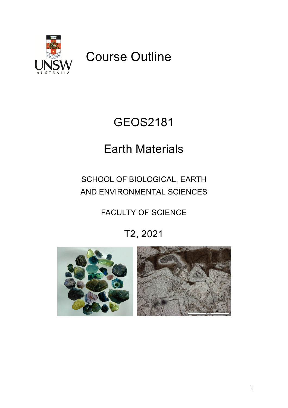

# Course Outline

# GEOS2181

# Earth Materials

# SCHOOL OF BIOLOGICAL, EARTH AND ENVIRONMENTAL SCIENCES

# FACULTY OF SCIENCE

# T2, 2021



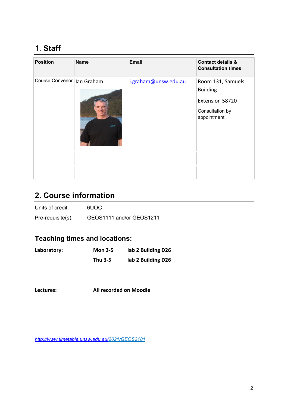# 1. **Staff**

| <b>Position</b>              | <b>Name</b> | <b>Email</b>         | <b>Contact details &amp;</b><br><b>Consultation times</b>                                 |
|------------------------------|-------------|----------------------|-------------------------------------------------------------------------------------------|
| Course Convenor   Ian Graham | <b>UNSW</b> | i.graham@unsw.edu.au | Room 131, Samuels<br><b>Building</b><br>Extension 58720<br>Consultation by<br>appointment |
|                              |             |                      |                                                                                           |
|                              |             |                      |                                                                                           |

# **2. Course information**

| Units of credit:     | 6UOC                     |
|----------------------|--------------------------|
| $Pre-requisite(s)$ : | GEOS1111 and/or GEOS1211 |

## **Teaching times and locations:**

| Laboratory: | <b>Mon 3-5</b> | lab 2 Building D26 |
|-------------|----------------|--------------------|
|             | Thu 3-5        | lab 2 Building D26 |

#### **Lectures: All recorded on Moodle**

*<http://www.timetable.unsw.edu.au/>2021/GEOS2181*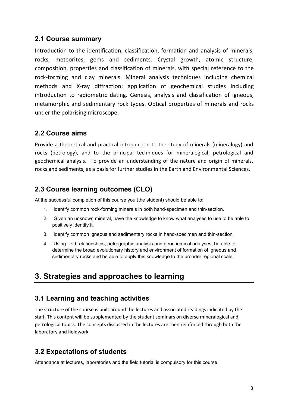### **2.1 Course summary**

Introduction to the identification, classification, formation and analysis of minerals, rocks, meteorites, gems and sediments. Crystal growth, atomic structure, composition, properties and classification of minerals, with special reference to the rock-forming and clay minerals. Mineral analysis techniques including chemical methods and X-ray diffraction; application of geochemical studies including introduction to radiometric dating. Genesis, analysis and classification of igneous, metamorphic and sedimentary rock types. Optical properties of minerals and rocks under the polarising microscope.

#### **2.2 Course aims**

Provide a theoretical and practical introduction to the study of minerals (mineralogy) and rocks (petrology), and to the principal techniques for mineralogical, petrological and geochemical analysis. To provide an understanding of the nature and origin of minerals, rocks and sediments, as a basis for further studies in the Earth and Environmental Sciences.

### **2.3 Course learning outcomes (CLO)**

At the successful completion of this course you (the student) should be able to:

- 1. Identify common rock-forming minerals in both hand-specimen and thin-section.
- 2. Given an unknown mineral, have the knowledge to know what analyses to use to be able to positively identify it.
- 3. Identify common igneous and sedimentary rocks in hand-specimen and thin-section.
- 4. Using field relationships, petrographic analysis and geochemical analyses, be able to determine the broad evolutionary history and environment of formation of igneous and sedimentary rocks and be able to apply this knowledge to the broader regional scale.

## **3. Strategies and approaches to learning**

## **3.1 Learning and teaching activities**

The structure of the course is built around the lectures and associated readings indicated by the staff. This content will be supplemented by the student seminars on diverse mineralogical and petrological topics. The concepts discussed in the lectures are then reinforced through both the laboratory and fieldwork

## **3.2 Expectations of students**

Attendance at lectures, laboratories and the field tutorial is compulsory for this course.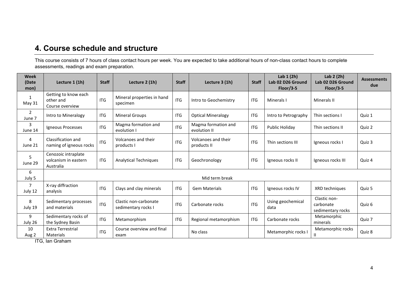## **4. Course schedule and structure**

This course consists of 7 hours of class contact hours per week. You are expected to take additional hours of non-class contact hours to complete assessments, readings and exam preparation.

| <b>Week</b><br>(Date<br>mon) | Lecture 1 (1h)                                           | <b>Staff</b> | Lecture 2 (1h)                               | <b>Staff</b> | Lecture 3 (1h)                      | <b>Staff</b> | Lab $1(2h)$<br>Lab 02 D26 Ground<br>$Floor/3-5$ | Lab $2(2h)$<br>Lab 02 D26 Ground<br>Floor/3-5  | <b>Assessments</b><br>due |
|------------------------------|----------------------------------------------------------|--------------|----------------------------------------------|--------------|-------------------------------------|--------------|-------------------------------------------------|------------------------------------------------|---------------------------|
| 1<br>May 31                  | Getting to know each<br>other and<br>Course overview     | <b>ITG</b>   | Mineral properties in hand<br>specimen       | <b>ITG</b>   | Intro to Geochemistry               | <b>ITG</b>   | Minerals I                                      | <b>Minerals II</b>                             |                           |
| 2<br>June 7                  | Intro to Mineralogy                                      | <b>ITG</b>   | <b>Mineral Groups</b>                        | <b>ITG</b>   | <b>Optical Mineralogy</b>           | <b>ITG</b>   | Intro to Petrography                            | Thin sections I                                | Quiz 1                    |
| 3<br>June 14                 | Igneous Processes                                        | <b>ITG</b>   | Magma formation and<br>evolution I           | <b>ITG</b>   | Magma formation and<br>evolution II | <b>ITG</b>   | Public Holiday                                  | Thin sections II                               | Quiz 2                    |
| 4<br>June 21                 | Classification and<br>naming of igneous rocks            | <b>ITG</b>   | Volcanoes and their<br>products I            | <b>ITG</b>   | Volcanoes and their<br>products II  | <b>ITG</b>   | Thin sections III                               | Igneous rocks I                                | Quiz 3                    |
| 5<br>June 29                 | Cenozoic intraplate<br>volcanism in eastern<br>Australia | <b>ITG</b>   | <b>Analytical Techniques</b>                 | <b>ITG</b>   | Geochronology                       | <b>ITG</b>   | Igneous rocks II                                | Igneous rocks III                              | Quiz 4                    |
| 6<br>July 5                  | Mid term break                                           |              |                                              |              |                                     |              |                                                 |                                                |                           |
| 7<br>July 12                 | X-ray diffraction<br>analysis                            | <b>ITG</b>   | Clays and clay minerals                      | <b>ITG</b>   | <b>Gem Materials</b>                | <b>ITG</b>   | Igneous rocks IV                                | XRD techniques                                 | Quiz 5                    |
| 8<br>July 19                 | Sedimentary processes<br>and materials                   | <b>ITG</b>   | Clastic non-carbonate<br>sedimentary rocks I | <b>ITG</b>   | Carbonate rocks                     | <b>ITG</b>   | Using geochemical<br>data                       | Clastic non-<br>carbonate<br>sedimentary rocks | Quiz 6                    |
| 9<br>July 26                 | Sedimentary rocks of<br>the Sydney Basin                 | <b>ITG</b>   | Metamorphism                                 | <b>ITG</b>   | Regional metamorphism               | <b>ITG</b>   | Carbonate rocks                                 | Metamorphic<br>minerals                        | Quiz 7                    |
| 10<br>Aug 2<br>$ \sim$       | <b>Extra Terrestrial</b><br>Materials                    | <b>ITG</b>   | Course overview and final<br>exam            |              | No class                            |              | Metamorphic rocks I                             | Metamorphic rocks                              | Quiz 8                    |

ITG, Ian Graham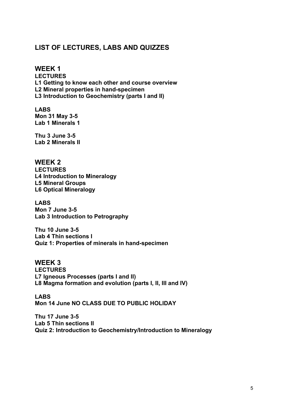### **LIST OF LECTURES, LABS AND QUIZZES**

**WEEK 1 LECTURES L1 Getting to know each other and course overview L2 Mineral properties in hand-specimen L3 Introduction to Geochemistry (parts I and II)**

**LABS Mon 31 May 3-5 Lab 1 Minerals 1**

**Thu 3 June 3-5 Lab 2 Minerals II**

**WEEK 2 LECTURES L4 Introduction to Mineralogy L5 Mineral Groups L6 Optical Mineralogy**

**LABS Mon 7 June 3-5 Lab 3 Introduction to Petrography**

**Thu 10 June 3-5 Lab 4 Thin sections I Quiz 1: Properties of minerals in hand-specimen**

**WEEK 3 LECTURES L7 Igneous Processes (parts I and II) L8 Magma formation and evolution (parts I, II, III and IV)**

**LABS Mon 14 June NO CLASS DUE TO PUBLIC HOLIDAY**

**Thu 17 June 3-5 Lab 5 Thin sections II Quiz 2: Introduction to Geochemistry/Introduction to Mineralogy**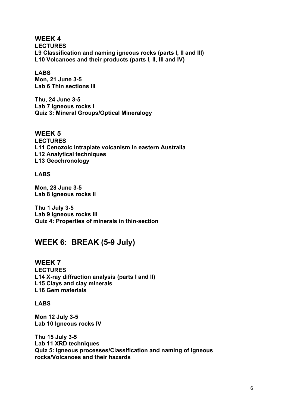**WEEK 4 LECTURES L9 Classification and naming igneous rocks (parts I, II and III) L10 Volcanoes and their products (parts I, II, III and IV)**

### **LABS**

**Mon, 21 June 3-5 Lab 6 Thin sections III**

**Thu, 24 June 3-5 Lab 7 Igneous rocks I Quiz 3: Mineral Groups/Optical Mineralogy**

#### **WEEK 5**

**LECTURES L11 Cenozoic intraplate volcanism in eastern Australia L12 Analytical techniques L13 Geochronology**

#### **LABS**

**Mon, 28 June 3-5 Lab 8 Igneous rocks II**

**Thu 1 July 3-5 Lab 9 Igneous rocks III Quiz 4: Properties of minerals in thin-section**

## **WEEK 6: BREAK (5-9 July)**

**WEEK 7 LECTURES L14 X-ray diffraction analysis (parts I and II) L15 Clays and clay minerals L16 Gem materials**

**LABS**

**Mon 12 July 3-5 Lab 10 Igneous rocks IV**

**Thu 15 July 3-5 Lab 11 XRD techniques Quiz 5: Igneous processes/Classification and naming of igneous rocks/Volcanoes and their hazards**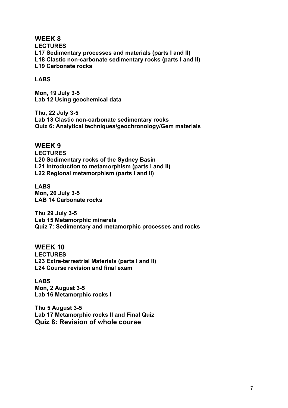**WEEK 8 LECTURES L17 Sedimentary processes and materials (parts I and II) L18 Clastic non-carbonate sedimentary rocks (parts I and II) L19 Carbonate rocks**

#### **LABS**

**Mon, 19 July 3-5 Lab 12 Using geochemical data**

**Thu, 22 July 3-5 Lab 13 Clastic non-carbonate sedimentary rocks Quiz 6: Analytical techniques/geochronology/Gem materials**

#### **WEEK 9**

**LECTURES L20 Sedimentary rocks of the Sydney Basin L21 Introduction to metamorphism (parts I and II) L22 Regional metamorphism (parts I and II)**

**LABS Mon, 26 July 3-5 LAB 14 Carbonate rocks**

**Thu 29 July 3-5 Lab 15 Metamorphic minerals Quiz 7: Sedimentary and metamorphic processes and rocks**

**WEEK 10 LECTURES L23 Extra-terrestrial Materials (parts I and II) L24 Course revision and final exam**

**LABS Mon, 2 August 3-5 Lab 16 Metamorphic rocks I**

**Thu 5 August 3-5 Lab 17 Metamorphic rocks II and Final Quiz Quiz 8: Revision of whole course**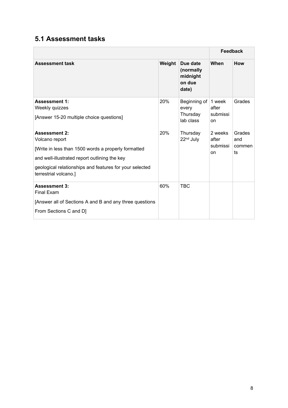## **5.1 Assessment tasks**

|                                                                                                                                                                                                                                    |        |                                                      | Feedback                           |                               |
|------------------------------------------------------------------------------------------------------------------------------------------------------------------------------------------------------------------------------------|--------|------------------------------------------------------|------------------------------------|-------------------------------|
| <b>Assessment task</b>                                                                                                                                                                                                             | Weight | Due date<br>(normally<br>midnight<br>on due<br>date) | When                               | How                           |
| <b>Assessment 1:</b><br>Weekly quizzes<br>[Answer 15-20 multiple choice questions]                                                                                                                                                 | 20%    | Beginning of<br>every<br>Thursday<br>lab class       | 1 week<br>after<br>submissi<br>on  | Grades                        |
| <b>Assessment 2:</b><br>Volcano report<br>[Write in less than 1500 words a properly formatted<br>and well-illustrated report outlining the key<br>geological relationships and features for your selected<br>terrestrial volcano.] | 20%    | Thursday<br>22 <sup>nd</sup> July                    | 2 weeks<br>after<br>submissi<br>on | Grades<br>and<br>commen<br>ts |
| <b>Assessment 3:</b><br><b>Final Exam</b><br>[Answer all of Sections A and B and any three questions<br>From Sections C and D]                                                                                                     | 60%    | <b>TBC</b>                                           |                                    |                               |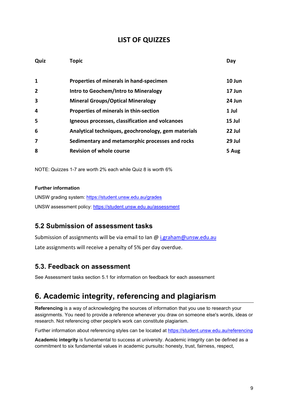#### **LIST OF QUIZZES**

| Quiz                    | <b>Topic</b>                                        | Day    |
|-------------------------|-----------------------------------------------------|--------|
|                         |                                                     |        |
| $\mathbf{1}$            | Properties of minerals in hand-specimen             | 10 Jun |
| $\overline{2}$          | Intro to Geochem/Intro to Mineralogy                | 17 Jun |
| $\overline{\mathbf{3}}$ | <b>Mineral Groups/Optical Mineralogy</b>            | 24 Jun |
| $\boldsymbol{4}$        | Properties of minerals in thin-section              | 1 Jul  |
| 5                       | Igneous processes, classification and volcanoes     | 15 Jul |
| 6                       | Analytical techniques, geochronology, gem materials | 22 Jul |
| 7                       | Sedimentary and metamorphic processes and rocks     | 29 Jul |
| 8                       | <b>Revision of whole course</b>                     | 5 Aug  |

NOTE: Quizzes 1-7 are worth 2% each while Quiz 8 is worth 6%

#### **Further information**

UNSW grading system:<https://student.unsw.edu.au/grades> UNSW assessment policy:<https://student.unsw.edu.au/assessment>

## **5.2 Submission of assessment tasks**

Submission of assignments will be via email to Ian  $\omega$  i.graham  $\omega$ unsw.edu.au Late assignments will receive a penalty of 5% per day overdue.

#### **5.3. Feedback on assessment**

See Assessment tasks section 5.1 for information on feedback for each assessment

# **6. Academic integrity, referencing and plagiarism**

**Referencing** is a way of acknowledging the sources of information that you use to research your assignments. You need to provide a reference whenever you draw on someone else's words, ideas or research. Not referencing other people's work can constitute plagiarism.

Further information about referencing styles can be located at <https://student.unsw.edu.au/referencing>

**Academic integrity** is fundamental to success at university. Academic integrity can be defined as a commitment to six fundamental values in academic pursuits**:** honesty, trust, fairness, respect,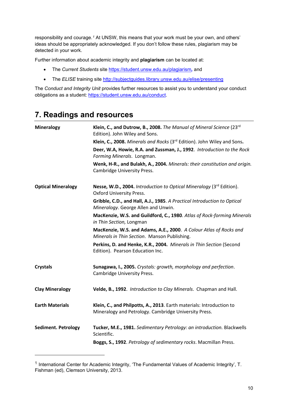responsibility and courage.*[1](#page-9-0)* At UNSW, this means that your work must be your own, and others' ideas should be appropriately acknowledged. If you don't follow these rules, plagiarism may be detected in your work.

Further information about academic integrity and **plagiarism** can be located at:

- The *Current Students* site <https://student.unsw.edu.au/plagiarism>*,* and
- The *ELISE* training site <http://subjectguides.library.unsw.edu.au/elise/presenting>

The *Conduct and Integrity Unit* provides further resources to assist you to understand your conduct obligations as a student: [https://student.unsw.edu.au/conduct.](https://student.unsw.edu.au/conduct)

# **7. Readings and resources**

| <b>Mineralogy</b>          | Klein, C., and Dutrow, B., 2008. The Manual of Mineral Science (23rd<br>Edition). John Wiley and Sons.                        |
|----------------------------|-------------------------------------------------------------------------------------------------------------------------------|
|                            | Klein, C., 2008. Minerals and Rocks (3rd Edition). John Wiley and Sons.                                                       |
|                            | Deer, W.A, Howie, R.A. and Zussman, J., 1992. Introduction to the Rock<br>Forming Minerals. Longman.                          |
|                            | Wenk, H-R., and Bulakh, A., 2004. Minerals: their constitution and origin.<br><b>Cambridge University Press.</b>              |
| <b>Optical Mineralogy</b>  | Nesse, W.D., 2004. Introduction to Optical Mineralogy (3 <sup>rd</sup> Edition).<br>Oxford University Press.                  |
|                            | Gribble, C.D., and Hall, A.J., 1985. A Practical Introduction to Optical<br>Mineralogy. George Allen and Unwin.               |
|                            | MacKenzie, W.S. and Guildford, C., 1980. Atlas of Rock-forming Minerals<br>in Thin Section, Longman                           |
|                            | MacKenzie, W.S. and Adams, A.E., 2000. A Colour Atlas of Rocks and<br>Minerals in Thin Section. Manson Publishing.            |
|                            | Perkins, D. and Henke, K.R., 2004. Minerals in Thin Section (Second<br>Edition). Pearson Education Inc.                       |
| <b>Crystals</b>            | Sunagawa, I., 2005. Crystals: growth, morphology and perfection.<br>Cambridge University Press.                               |
| <b>Clay Mineralogy</b>     | Velde, B., 1992. Introduction to Clay Minerals. Chapman and Hall.                                                             |
| <b>Earth Materials</b>     | Klein, C., and Philpotts, A., 2013. Earth materials: Introduction to<br>Mineralogy and Petrology. Cambridge University Press. |
| <b>Sediment. Petrology</b> | Tucker, M.E., 1981. Sedimentary Petrology: an introduction. Blackwells<br>Scientific.                                         |
|                            | Boggs, S., 1992. Petrology of sedimentary rocks. Macmillan Press.                                                             |

<span id="page-9-0"></span><sup>&</sup>lt;sup>1</sup> International Center for Academic Integrity, 'The Fundamental Values of Academic Integrity', T. Fishman (ed), Clemson University, 2013.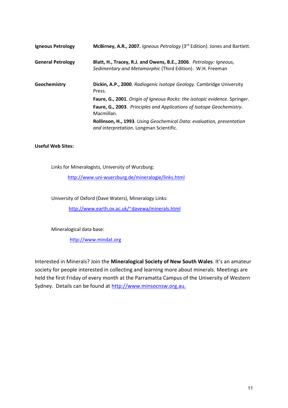| Igneous Petrology        | McBirney, A.R., 2007. Igneous Petrology (3rd Edition). Jones and Bartlett.                                                      |
|--------------------------|---------------------------------------------------------------------------------------------------------------------------------|
| <b>General Petrology</b> | Blatt, H., Tracey, R.J. and Owens, B.E., 2006. Petrology: Igneous,<br>Sedimentary and Metamorphic (Third Edition). W.H. Freeman |
| Geochemistry             | Dickin, A.P., 2000. Radiogenic Isotope Geology. Cambridge University<br>Press.                                                  |
|                          | Faure, G., 2001. Origin of Igneous Rocks: the isotopic evidence. Springer.                                                      |
|                          | Faure, G., 2003. Principles and Applications of Isotope Geochemistry.<br>Macmillan.                                             |
|                          | <b>Rollinson, H., 1993.</b> Using Geochemical Data: evaluation, presentation<br>and interpretation. Longman Scientific.         |
|                          |                                                                                                                                 |

#### **Useful Web Sites:**

Links for Mineralogists, University of Wurzburg:

<http://www.uni-wuerzburg.de/mineralogie/links.html>

University of Oxford (Dave Waters), Mineralogy Links:

[http://www.earth.ox.ac.uk/~davewa/minerals.html](http://www.earth.ox.ac.uk/%7Edavewa/minerals.html)

Mineralogical data base:

[http://www.mindat.org](http://www.mindat.org/)

Interested in Minerals? Join the **Mineralogical Society of New South Wales**. It's an amateur society for people interested in collecting and learning more about minerals. Meetings are held the first Friday of every month at the Parramatta Campus of the University of Western Sydney. Details can be found at [http://www.minsocnsw.org.au.](http://www.minsocnsw.org.au/)